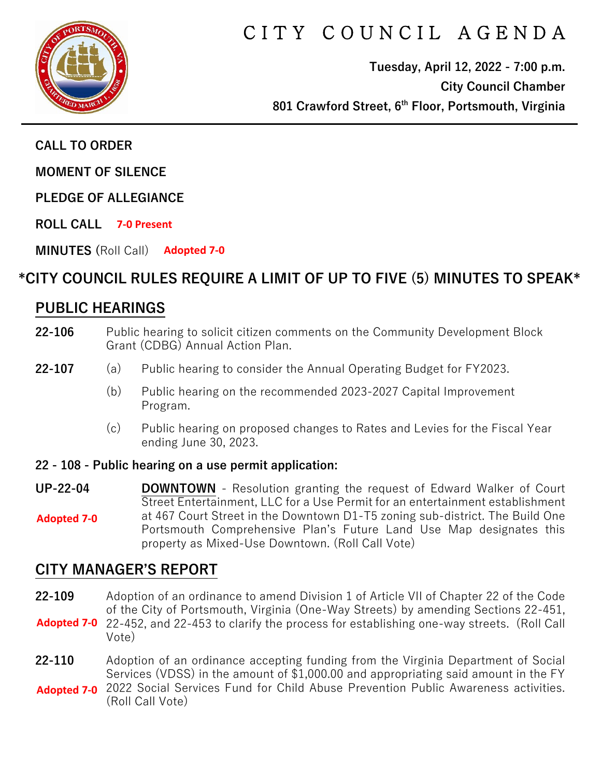

# CITY COUNCIL AGENDA

**Tuesday, April 12, 2022 - 7:00 p.m. City Council Chamber 801 Crawford Street, 6th Floor, Portsmouth, Virginia**

**CALL TO ORDER**

**MOMENT OF SILENCE** 

**PLEDGE OF ALLEGIANCE** 

**ROLL CALL 7-0 Present**

**MINUTES (**Roll Call) **Adopted 7-0**

### **\*CITY COUNCIL RULES REQUIRE A LIMIT OF UP TO FIVE (5) MINUTES TO SPEAK\***

### **PUBLIC HEARINGS**

- **22-106** Public hearing to solicit citizen comments on the Community Development Block Grant (CDBG) Annual Action Plan.
- **22-107** (a) Public hearing to consider the Annual Operating Budget for FY2023.
	- (b) Public hearing on the recommended 2023-2027 Capital Improvement Program.
	- (c) Public hearing on proposed changes to Rates and Levies for the Fiscal Year ending June 30, 2023.
- **22 - 108 - Public hearing on a use permit application:**
- **UP-22-04 DOWNTOWN** Resolution granting the request of Edward Walker of Court Street Entertainment, LLC for a Use Permit for an entertainment establishment at 467 Court Street in the Downtown D1-T5 zoning sub-district. The Build One Portsmouth Comprehensive Plan's Future Land Use Map designates this property as Mixed-Use Downtown. (Roll Call Vote) **Adopted 7-0**

# **CITY MANAGER'S REPORT**

**22-109** Adoption of an ordinance to amend Division 1 of Article VII of Chapter 22 of the Code of the City of Portsmouth, Virginia (One-Way Streets) by amending Sections 22-451, Adopted 7-0 22-452, and 22-453 to clarify the process for establishing one-way streets. (Roll Call

- Vote)
- **22-110** Adoption of an ordinance accepting funding from the Virginia Department of Social Services (VDSS) in the amount of \$1,000.00 and appropriating said amount in the FY
- 2022 Social Services Fund for Child Abuse Prevention Public Awareness activities. **Adopted 7-0** (Roll Call Vote)